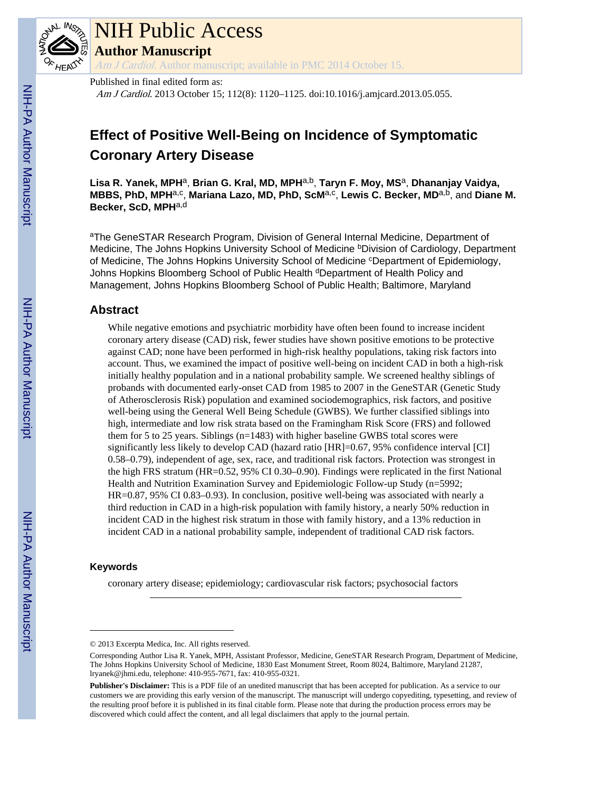

# NIH Public Access

**Author Manuscript**

Am J Cardiol. Author manuscript; available in PMC 2014 October 15.

Published in final edited form as:

Am J Cardiol. 2013 October 15; 112(8): 1120-1125. doi:10.1016/j.amjcard.2013.05.055.

# **Effect of Positive Well-Being on Incidence of Symptomatic Coronary Artery Disease**

**Lisa R. Yanek, MPH**a, **Brian G. Kral, MD, MPH**a,b, **Taryn F. Moy, MS**a, **Dhananjay Vaidya, MBBS, PhD, MPH<sup>a,c</sup>, Mariana Lazo, MD, PhD, ScM<sup>a,c</sup>, Lewis C. Becker, MD<sup>a,b</sup>, and Diane M. Becker, ScD, MPH**a,d

<sup>a</sup>The GeneSTAR Research Program, Division of General Internal Medicine, Department of Medicine, The Johns Hopkins University School of Medicine bDivision of Cardiology, Department of Medicine, The Johns Hopkins University School of Medicine <sup>c</sup>Department of Epidemiology, Johns Hopkins Bloomberg School of Public Health <sup>d</sup>Department of Health Policy and Management, Johns Hopkins Bloomberg School of Public Health; Baltimore, Maryland

# **Abstract**

While negative emotions and psychiatric morbidity have often been found to increase incident coronary artery disease (CAD) risk, fewer studies have shown positive emotions to be protective against CAD; none have been performed in high-risk healthy populations, taking risk factors into account. Thus, we examined the impact of positive well-being on incident CAD in both a high-risk initially healthy population and in a national probability sample. We screened healthy siblings of probands with documented early-onset CAD from 1985 to 2007 in the GeneSTAR (Genetic Study of Atherosclerosis Risk) population and examined sociodemographics, risk factors, and positive well-being using the General Well Being Schedule (GWBS). We further classified siblings into high, intermediate and low risk strata based on the Framingham Risk Score (FRS) and followed them for 5 to 25 years. Siblings (n=1483) with higher baseline GWBS total scores were significantly less likely to develop CAD (hazard ratio [HR]=0.67, 95% confidence interval [CI] 0.58–0.79), independent of age, sex, race, and traditional risk factors. Protection was strongest in the high FRS stratum (HR=0.52, 95% CI 0.30–0.90). Findings were replicated in the first National Health and Nutrition Examination Survey and Epidemiologic Follow-up Study (n=5992; HR=0.87, 95% CI 0.83–0.93). In conclusion, positive well-being was associated with nearly a third reduction in CAD in a high-risk population with family history, a nearly 50% reduction in incident CAD in the highest risk stratum in those with family history, and a 13% reduction in incident CAD in a national probability sample, independent of traditional CAD risk factors.

### **Keywords**

coronary artery disease; epidemiology; cardiovascular risk factors; psychosocial factors

<sup>© 2013</sup> Excerpta Medica, Inc. All rights reserved.

Corresponding Author Lisa R. Yanek, MPH, Assistant Professor, Medicine, GeneSTAR Research Program, Department of Medicine, The Johns Hopkins University School of Medicine, 1830 East Monument Street, Room 8024, Baltimore, Maryland 21287, lryanek@jhmi.edu, telephone: 410-955-7671, fax: 410-955-0321.

**Publisher's Disclaimer:** This is a PDF file of an unedited manuscript that has been accepted for publication. As a service to our customers we are providing this early version of the manuscript. The manuscript will undergo copyediting, typesetting, and review of the resulting proof before it is published in its final citable form. Please note that during the production process errors may be discovered which could affect the content, and all legal disclaimers that apply to the journal pertain.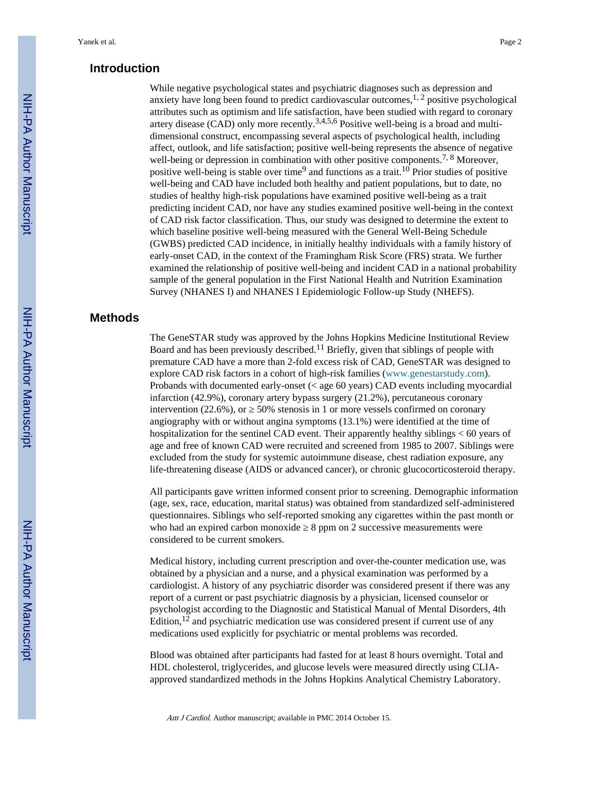#### **Introduction**

While negative psychological states and psychiatric diagnoses such as depression and anxiety have long been found to predict cardiovascular outcomes,  $1, 2$  positive psychological attributes such as optimism and life satisfaction, have been studied with regard to coronary artery disease  $(CAD)$  only more recently.<sup>3,4,5,6</sup> Positive well-being is a broad and multidimensional construct, encompassing several aspects of psychological health, including affect, outlook, and life satisfaction; positive well-being represents the absence of negative well-being or depression in combination with other positive components.<sup>7, 8</sup> Moreover, positive well-being is stable over time<sup>9</sup> and functions as a trait.<sup>10</sup> Prior studies of positive well-being and CAD have included both healthy and patient populations, but to date, no studies of healthy high-risk populations have examined positive well-being as a trait predicting incident CAD, nor have any studies examined positive well-being in the context of CAD risk factor classification. Thus, our study was designed to determine the extent to which baseline positive well-being measured with the General Well-Being Schedule (GWBS) predicted CAD incidence, in initially healthy individuals with a family history of early-onset CAD, in the context of the Framingham Risk Score (FRS) strata. We further examined the relationship of positive well-being and incident CAD in a national probability sample of the general population in the First National Health and Nutrition Examination Survey (NHANES I) and NHANES I Epidemiologic Follow-up Study (NHEFS).

### **Methods**

The GeneSTAR study was approved by the Johns Hopkins Medicine Institutional Review Board and has been previously described.11 Briefly, given that siblings of people with premature CAD have a more than 2-fold excess risk of CAD, GeneSTAR was designed to explore CAD risk factors in a cohort of high-risk families (www.genestarstudy.com). Probands with documented early-onset (< age 60 years) CAD events including myocardial infarction (42.9%), coronary artery bypass surgery (21.2%), percutaneous coronary intervention  $(22.6\%)$ , or  $\phantom{0}50\%$  stenosis in 1 or more vessels confirmed on coronary angiography with or without angina symptoms (13.1%) were identified at the time of hospitalization for the sentinel CAD event. Their apparently healthy siblings < 60 years of age and free of known CAD were recruited and screened from 1985 to 2007. Siblings were excluded from the study for systemic autoimmune disease, chest radiation exposure, any life-threatening disease (AIDS or advanced cancer), or chronic glucocorticosteroid therapy.

All participants gave written informed consent prior to screening. Demographic information (age, sex, race, education, marital status) was obtained from standardized self-administered questionnaires. Siblings who self-reported smoking any cigarettes within the past month or who had an expired carbon monoxide 8 ppm on 2 successive measurements were considered to be current smokers.

Medical history, including current prescription and over-the-counter medication use, was obtained by a physician and a nurse, and a physical examination was performed by a cardiologist. A history of any psychiatric disorder was considered present if there was any report of a current or past psychiatric diagnosis by a physician, licensed counselor or psychologist according to the Diagnostic and Statistical Manual of Mental Disorders, 4th Edition,<sup>12</sup> and psychiatric medication use was considered present if current use of any medications used explicitly for psychiatric or mental problems was recorded.

Blood was obtained after participants had fasted for at least 8 hours overnight. Total and HDL cholesterol, triglycerides, and glucose levels were measured directly using CLIAapproved standardized methods in the Johns Hopkins Analytical Chemistry Laboratory.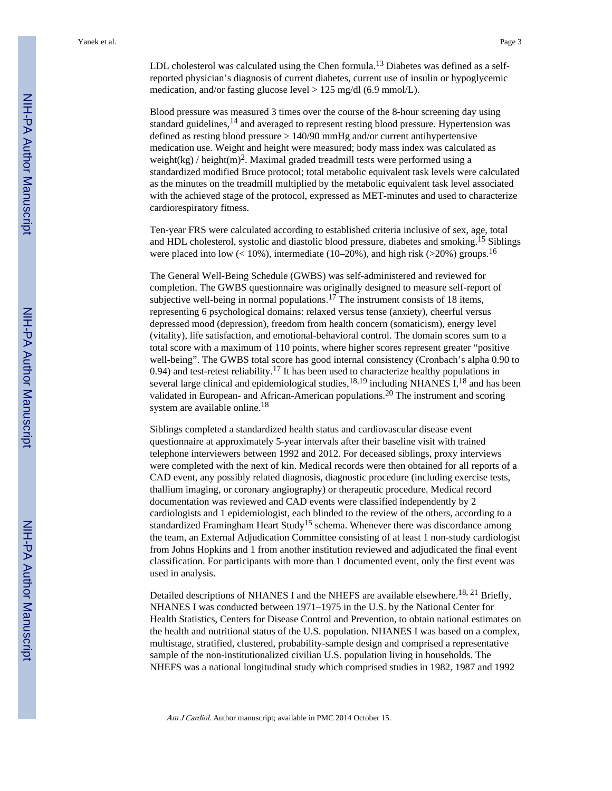LDL cholesterol was calculated using the Chen formula.<sup>13</sup> Diabetes was defined as a selfreported physician's diagnosis of current diabetes, current use of insulin or hypoglycemic medication, and/or fasting glucose level > 125 mg/dl (6.9 mmol/L).

Blood pressure was measured 3 times over the course of the 8-hour screening day using standard guidelines,<sup>14</sup> and averaged to represent resting blood pressure. Hypertension was defined as resting blood pressure 140/90 mmHg and/or current antihypertensive medication use. Weight and height were measured; body mass index was calculated as weight(kg) / height(m)<sup>2</sup>. Maximal graded treadmill tests were performed using a standardized modified Bruce protocol; total metabolic equivalent task levels were calculated as the minutes on the treadmill multiplied by the metabolic equivalent task level associated with the achieved stage of the protocol, expressed as MET-minutes and used to characterize cardiorespiratory fitness.

Ten-year FRS were calculated according to established criteria inclusive of sex, age, total and HDL cholesterol, systolic and diastolic blood pressure, diabetes and smoking.15 Siblings were placed into low  $\left($  < 10%), intermediate (10–20%), and high risk (>20%) groups.<sup>16</sup>

The General Well-Being Schedule (GWBS) was self-administered and reviewed for completion. The GWBS questionnaire was originally designed to measure self-report of subjective well-being in normal populations.<sup>17</sup> The instrument consists of 18 items, representing 6 psychological domains: relaxed versus tense (anxiety), cheerful versus depressed mood (depression), freedom from health concern (somaticism), energy level (vitality), life satisfaction, and emotional-behavioral control. The domain scores sum to a total score with a maximum of 110 points, where higher scores represent greater "positive well-being". The GWBS total score has good internal consistency (Cronbach's alpha 0.90 to 0.94) and test-retest reliability.<sup>17</sup> It has been used to characterize healthy populations in several large clinical and epidemiological studies, $18,19$  including NHANES I, $18$  and has been validated in European- and African-American populations.20 The instrument and scoring system are available online.<sup>18</sup>

Siblings completed a standardized health status and cardiovascular disease event questionnaire at approximately 5-year intervals after their baseline visit with trained telephone interviewers between 1992 and 2012. For deceased siblings, proxy interviews were completed with the next of kin. Medical records were then obtained for all reports of a CAD event, any possibly related diagnosis, diagnostic procedure (including exercise tests, thallium imaging, or coronary angiography) or therapeutic procedure. Medical record documentation was reviewed and CAD events were classified independently by 2 cardiologists and 1 epidemiologist, each blinded to the review of the others, according to a standardized Framingham Heart Study<sup>15</sup> schema. Whenever there was discordance among the team, an External Adjudication Committee consisting of at least 1 non-study cardiologist from Johns Hopkins and 1 from another institution reviewed and adjudicated the final event classification. For participants with more than 1 documented event, only the first event was used in analysis.

Detailed descriptions of NHANES I and the NHEFS are available elsewhere.<sup>18, 21</sup> Briefly, NHANES I was conducted between 1971–1975 in the U.S. by the National Center for Health Statistics, Centers for Disease Control and Prevention, to obtain national estimates on the health and nutritional status of the U.S. population. NHANES I was based on a complex, multistage, stratified, clustered, probability-sample design and comprised a representative sample of the non-institutionalized civilian U.S. population living in households. The NHEFS was a national longitudinal study which comprised studies in 1982, 1987 and 1992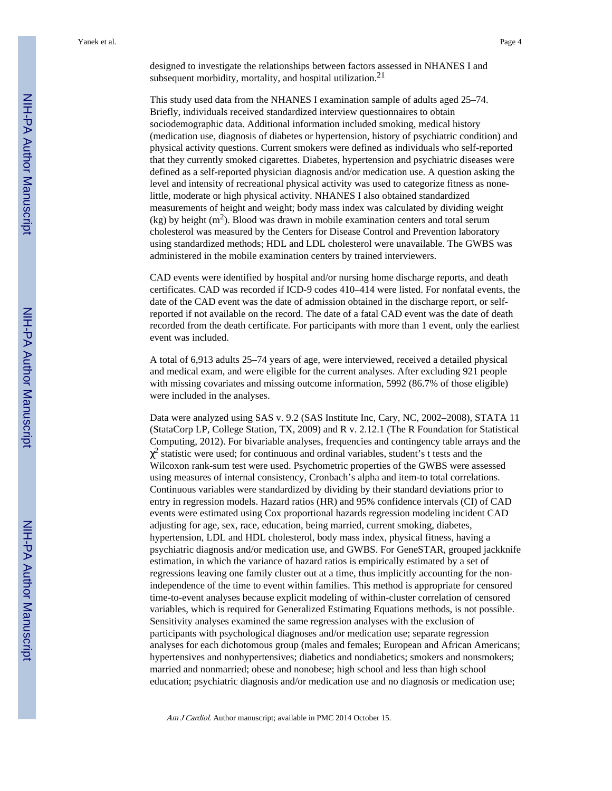designed to investigate the relationships between factors assessed in NHANES I and subsequent morbidity, mortality, and hospital utilization.<sup>21</sup>

This study used data from the NHANES I examination sample of adults aged 25–74. Briefly, individuals received standardized interview questionnaires to obtain sociodemographic data. Additional information included smoking, medical history (medication use, diagnosis of diabetes or hypertension, history of psychiatric condition) and physical activity questions. Current smokers were defined as individuals who self-reported that they currently smoked cigarettes. Diabetes, hypertension and psychiatric diseases were defined as a self-reported physician diagnosis and/or medication use. A question asking the level and intensity of recreational physical activity was used to categorize fitness as nonelittle, moderate or high physical activity. NHANES I also obtained standardized measurements of height and weight; body mass index was calculated by dividing weight  $(kg)$  by height  $(m^2)$ . Blood was drawn in mobile examination centers and total serum cholesterol was measured by the Centers for Disease Control and Prevention laboratory using standardized methods; HDL and LDL cholesterol were unavailable. The GWBS was administered in the mobile examination centers by trained interviewers.

CAD events were identified by hospital and/or nursing home discharge reports, and death certificates. CAD was recorded if ICD-9 codes 410–414 were listed. For nonfatal events, the date of the CAD event was the date of admission obtained in the discharge report, or selfreported if not available on the record. The date of a fatal CAD event was the date of death recorded from the death certificate. For participants with more than 1 event, only the earliest event was included.

A total of 6,913 adults 25–74 years of age, were interviewed, received a detailed physical and medical exam, and were eligible for the current analyses. After excluding 921 people with missing covariates and missing outcome information, 5992 (86.7% of those eligible) were included in the analyses.

Data were analyzed using SAS v. 9.2 (SAS Institute Inc, Cary, NC, 2002–2008), STATA 11 (StataCorp LP, College Station, TX, 2009) and R v. 2.12.1 (The R Foundation for Statistical Computing, 2012). For bivariable analyses, frequencies and contingency table arrays and the <sup>2</sup> statistic were used; for continuous and ordinal variables, student's t tests and the Wilcoxon rank-sum test were used. Psychometric properties of the GWBS were assessed using measures of internal consistency, Cronbach's alpha and item-to total correlations. Continuous variables were standardized by dividing by their standard deviations prior to entry in regression models. Hazard ratios (HR) and 95% confidence intervals (CI) of CAD events were estimated using Cox proportional hazards regression modeling incident CAD adjusting for age, sex, race, education, being married, current smoking, diabetes, hypertension, LDL and HDL cholesterol, body mass index, physical fitness, having a psychiatric diagnosis and/or medication use, and GWBS. For GeneSTAR, grouped jackknife estimation, in which the variance of hazard ratios is empirically estimated by a set of regressions leaving one family cluster out at a time, thus implicitly accounting for the nonindependence of the time to event within families. This method is appropriate for censored time-to-event analyses because explicit modeling of within-cluster correlation of censored variables, which is required for Generalized Estimating Equations methods, is not possible. Sensitivity analyses examined the same regression analyses with the exclusion of participants with psychological diagnoses and/or medication use; separate regression analyses for each dichotomous group (males and females; European and African Americans; hypertensives and nonhypertensives; diabetics and nondiabetics; smokers and nonsmokers; married and nonmarried; obese and nonobese; high school and less than high school education; psychiatric diagnosis and/or medication use and no diagnosis or medication use;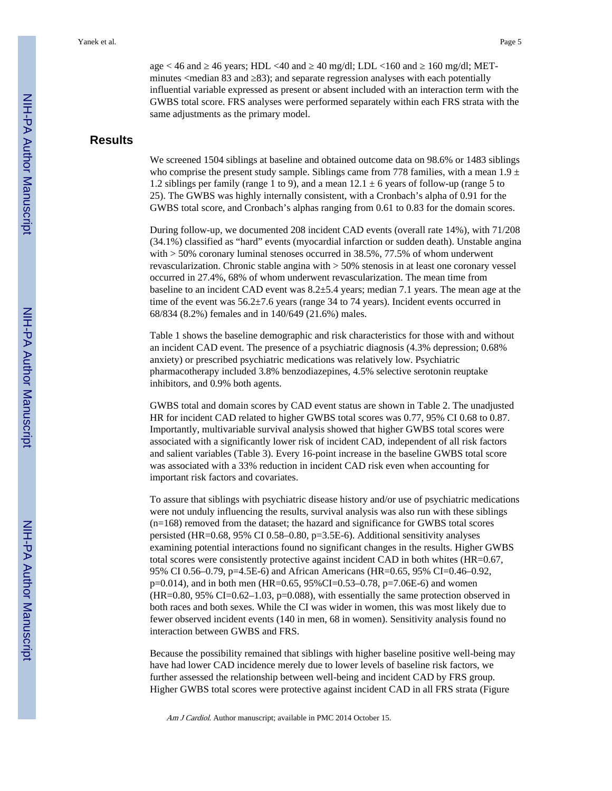age < 46 and  $\,$  46 years; HDL <40 and  $\,$  40 mg/dl; LDL <160 and  $\,$  160 mg/dl; METminutes <median 83 and 283); and separate regression analyses with each potentially influential variable expressed as present or absent included with an interaction term with the GWBS total score. FRS analyses were performed separately within each FRS strata with the same adjustments as the primary model.

# **Results**

We screened 1504 siblings at baseline and obtained outcome data on 98.6% or 1483 siblings who comprise the present study sample. Siblings came from 778 families, with a mean  $1.9 \pm$ 1.2 siblings per family (range 1 to 9), and a mean  $12.1 \pm 6$  years of follow-up (range 5 to 25). The GWBS was highly internally consistent, with a Cronbach's alpha of 0.91 for the GWBS total score, and Cronbach's alphas ranging from 0.61 to 0.83 for the domain scores.

During follow-up, we documented 208 incident CAD events (overall rate 14%), with 71/208 (34.1%) classified as "hard" events (myocardial infarction or sudden death). Unstable angina with  $>$  50% coronary luminal stenoses occurred in 38.5%, 77.5% of whom underwent revascularization. Chronic stable angina with > 50% stenosis in at least one coronary vessel occurred in 27.4%, 68% of whom underwent revascularization. The mean time from baseline to an incident CAD event was 8.2±5.4 years; median 7.1 years. The mean age at the time of the event was 56.2±7.6 years (range 34 to 74 years). Incident events occurred in 68/834 (8.2%) females and in 140/649 (21.6%) males.

Table 1 shows the baseline demographic and risk characteristics for those with and without an incident CAD event. The presence of a psychiatric diagnosis (4.3% depression; 0.68% anxiety) or prescribed psychiatric medications was relatively low. Psychiatric pharmacotherapy included 3.8% benzodiazepines, 4.5% selective serotonin reuptake inhibitors, and 0.9% both agents.

GWBS total and domain scores by CAD event status are shown in Table 2. The unadjusted HR for incident CAD related to higher GWBS total scores was 0.77, 95% CI 0.68 to 0.87. Importantly, multivariable survival analysis showed that higher GWBS total scores were associated with a significantly lower risk of incident CAD, independent of all risk factors and salient variables (Table 3). Every 16-point increase in the baseline GWBS total score was associated with a 33% reduction in incident CAD risk even when accounting for important risk factors and covariates.

To assure that siblings with psychiatric disease history and/or use of psychiatric medications were not unduly influencing the results, survival analysis was also run with these siblings (n=168) removed from the dataset; the hazard and significance for GWBS total scores persisted (HR=0.68, 95% CI 0.58–0.80, p=3.5E-6). Additional sensitivity analyses examining potential interactions found no significant changes in the results. Higher GWBS total scores were consistently protective against incident CAD in both whites (HR=0.67, 95% CI 0.56–0.79, p=4.5E-6) and African Americans (HR=0.65, 95% CI=0.46–0.92,  $p=0.014$ ), and in both men (HR=0.65, 95%CI=0.53–0.78, p=7.06E-6) and women  $(HR=0.80, 95\% \text{ CI} = 0.62-1.03, p=0.088)$ , with essentially the same protection observed in both races and both sexes. While the CI was wider in women, this was most likely due to fewer observed incident events (140 in men, 68 in women). Sensitivity analysis found no interaction between GWBS and FRS.

Because the possibility remained that siblings with higher baseline positive well-being may have had lower CAD incidence merely due to lower levels of baseline risk factors, we further assessed the relationship between well-being and incident CAD by FRS group. Higher GWBS total scores were protective against incident CAD in all FRS strata (Figure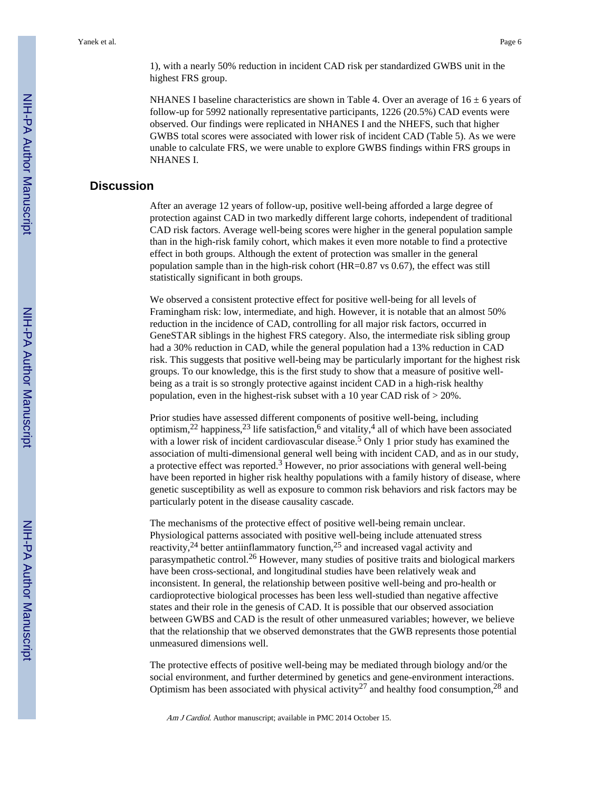1), with a nearly 50% reduction in incident CAD risk per standardized GWBS unit in the highest FRS group.

NHANES I baseline characteristics are shown in Table 4. Over an average of  $16 \pm 6$  years of follow-up for 5992 nationally representative participants, 1226 (20.5%) CAD events were observed. Our findings were replicated in NHANES I and the NHEFS, such that higher GWBS total scores were associated with lower risk of incident CAD (Table 5). As we were unable to calculate FRS, we were unable to explore GWBS findings within FRS groups in NHANES I.

# **Discussion**

After an average 12 years of follow-up, positive well-being afforded a large degree of protection against CAD in two markedly different large cohorts, independent of traditional CAD risk factors. Average well-being scores were higher in the general population sample than in the high-risk family cohort, which makes it even more notable to find a protective effect in both groups. Although the extent of protection was smaller in the general population sample than in the high-risk cohort (HR=0.87 vs 0.67), the effect was still statistically significant in both groups.

We observed a consistent protective effect for positive well-being for all levels of Framingham risk: low, intermediate, and high. However, it is notable that an almost 50% reduction in the incidence of CAD, controlling for all major risk factors, occurred in GeneSTAR siblings in the highest FRS category. Also, the intermediate risk sibling group had a 30% reduction in CAD, while the general population had a 13% reduction in CAD risk. This suggests that positive well-being may be particularly important for the highest risk groups. To our knowledge, this is the first study to show that a measure of positive wellbeing as a trait is so strongly protective against incident CAD in a high-risk healthy population, even in the highest-risk subset with a 10 year CAD risk of > 20%.

Prior studies have assessed different components of positive well-being, including optimism,<sup>22</sup> happiness,<sup>23</sup> life satisfaction,<sup>6</sup> and vitality,<sup>4</sup> all of which have been associated with a lower risk of incident cardiovascular disease.<sup>5</sup> Only 1 prior study has examined the association of multi-dimensional general well being with incident CAD, and as in our study, a protective effect was reported.<sup>3</sup> However, no prior associations with general well-being have been reported in higher risk healthy populations with a family history of disease, where genetic susceptibility as well as exposure to common risk behaviors and risk factors may be particularly potent in the disease causality cascade.

The mechanisms of the protective effect of positive well-being remain unclear. Physiological patterns associated with positive well-being include attenuated stress reactivity,24 better antiinflammatory function,25 and increased vagal activity and parasympathetic control.26 However, many studies of positive traits and biological markers have been cross-sectional, and longitudinal studies have been relatively weak and inconsistent. In general, the relationship between positive well-being and pro-health or cardioprotective biological processes has been less well-studied than negative affective states and their role in the genesis of CAD. It is possible that our observed association between GWBS and CAD is the result of other unmeasured variables; however, we believe that the relationship that we observed demonstrates that the GWB represents those potential unmeasured dimensions well.

The protective effects of positive well-being may be mediated through biology and/or the social environment, and further determined by genetics and gene-environment interactions. Optimism has been associated with physical activity<sup>27</sup> and healthy food consumption,<sup>28</sup> and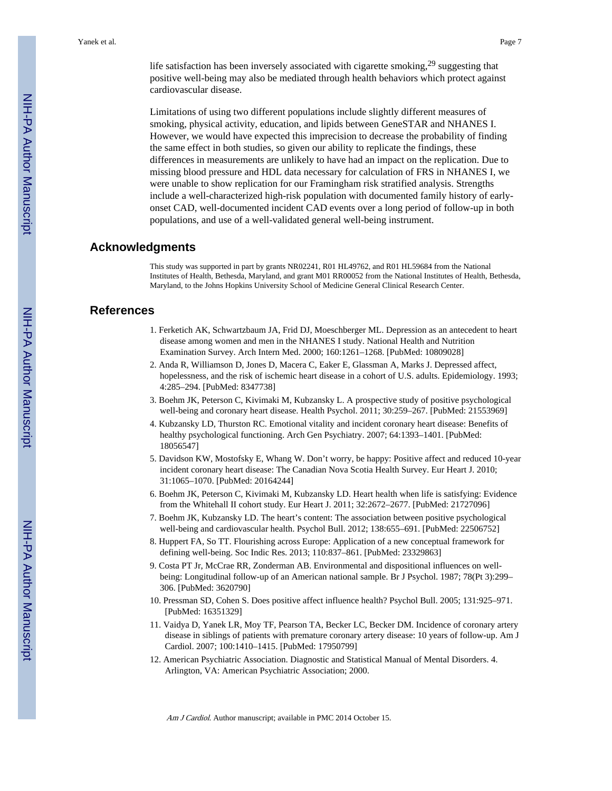Limitations of using two different populations include slightly different measures of smoking, physical activity, education, and lipids between GeneSTAR and NHANES I. However, we would have expected this imprecision to decrease the probability of finding the same effect in both studies, so given our ability to replicate the findings, these differences in measurements are unlikely to have had an impact on the replication. Due to missing blood pressure and HDL data necessary for calculation of FRS in NHANES I, we were unable to show replication for our Framingham risk stratified analysis. Strengths include a well-characterized high-risk population with documented family history of earlyonset CAD, well-documented incident CAD events over a long period of follow-up in both populations, and use of a well-validated general well-being instrument.

#### **Acknowledgments**

cardiovascular disease.

This study was supported in part by grants NR02241, R01 HL49762, and R01 HL59684 from the National Institutes of Health, Bethesda, Maryland, and grant M01 RR00052 from the National Institutes of Health, Bethesda, Maryland, to the Johns Hopkins University School of Medicine General Clinical Research Center.

### **References**

- 1. Ferketich AK, Schwartzbaum JA, Frid DJ, Moeschberger ML. Depression as an antecedent to heart disease among women and men in the NHANES I study. National Health and Nutrition Examination Survey. Arch Intern Med. 2000; 160:1261–1268. [PubMed: 10809028]
- 2. Anda R, Williamson D, Jones D, Macera C, Eaker E, Glassman A, Marks J. Depressed affect, hopelessness, and the risk of ischemic heart disease in a cohort of U.S. adults. Epidemiology. 1993; 4:285–294. [PubMed: 8347738]
- 3. Boehm JK, Peterson C, Kivimaki M, Kubzansky L. A prospective study of positive psychological well-being and coronary heart disease. Health Psychol. 2011; 30:259–267. [PubMed: 21553969]
- 4. Kubzansky LD, Thurston RC. Emotional vitality and incident coronary heart disease: Benefits of healthy psychological functioning. Arch Gen Psychiatry. 2007; 64:1393–1401. [PubMed: 18056547]
- 5. Davidson KW, Mostofsky E, Whang W. Don't worry, be happy: Positive affect and reduced 10-year incident coronary heart disease: The Canadian Nova Scotia Health Survey. Eur Heart J. 2010; 31:1065–1070. [PubMed: 20164244]
- 6. Boehm JK, Peterson C, Kivimaki M, Kubzansky LD. Heart health when life is satisfying: Evidence from the Whitehall II cohort study. Eur Heart J. 2011; 32:2672–2677. [PubMed: 21727096]
- 7. Boehm JK, Kubzansky LD. The heart's content: The association between positive psychological well-being and cardiovascular health. Psychol Bull. 2012; 138:655–691. [PubMed: 22506752]
- 8. Huppert FA, So TT. Flourishing across Europe: Application of a new conceptual framework for defining well-being. Soc Indic Res. 2013; 110:837–861. [PubMed: 23329863]
- 9. Costa PT Jr, McCrae RR, Zonderman AB. Environmental and dispositional influences on wellbeing: Longitudinal follow-up of an American national sample. Br J Psychol. 1987; 78(Pt 3):299– 306. [PubMed: 3620790]
- 10. Pressman SD, Cohen S. Does positive affect influence health? Psychol Bull. 2005; 131:925–971. [PubMed: 16351329]
- 11. Vaidya D, Yanek LR, Moy TF, Pearson TA, Becker LC, Becker DM. Incidence of coronary artery disease in siblings of patients with premature coronary artery disease: 10 years of follow-up. Am J Cardiol. 2007; 100:1410–1415. [PubMed: 17950799]
- 12. American Psychiatric Association. Diagnostic and Statistical Manual of Mental Disorders. 4. Arlington, VA: American Psychiatric Association; 2000.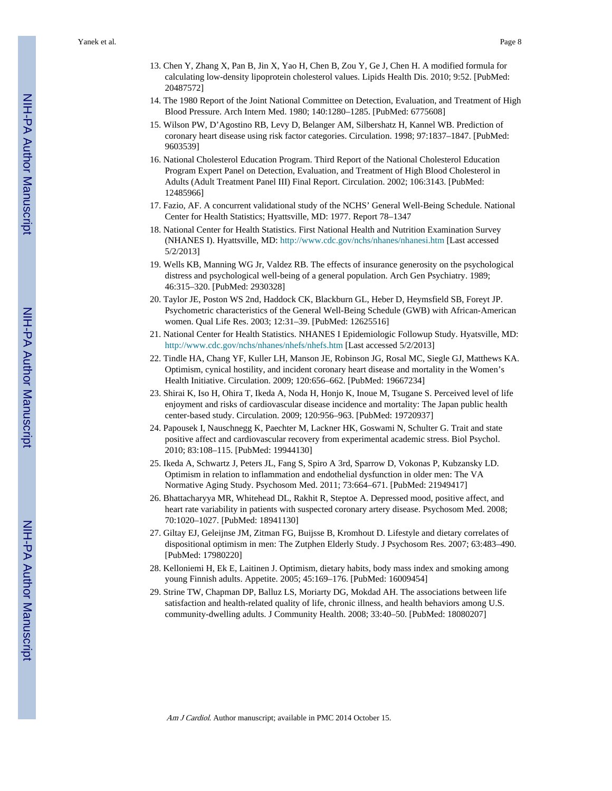- 13. Chen Y, Zhang X, Pan B, Jin X, Yao H, Chen B, Zou Y, Ge J, Chen H. A modified formula for calculating low-density lipoprotein cholesterol values. Lipids Health Dis. 2010; 9:52. [PubMed: 20487572]
- 14. The 1980 Report of the Joint National Committee on Detection, Evaluation, and Treatment of High Blood Pressure. Arch Intern Med. 1980; 140:1280–1285. [PubMed: 6775608]
- 15. Wilson PW, D'Agostino RB, Levy D, Belanger AM, Silbershatz H, Kannel WB. Prediction of coronary heart disease using risk factor categories. Circulation. 1998; 97:1837–1847. [PubMed: 9603539]
- 16. National Cholesterol Education Program. Third Report of the National Cholesterol Education Program Expert Panel on Detection, Evaluation, and Treatment of High Blood Cholesterol in Adults (Adult Treatment Panel III) Final Report. Circulation. 2002; 106:3143. [PubMed: 12485966]
- 17. Fazio, AF. A concurrent validational study of the NCHS' General Well-Being Schedule. National Center for Health Statistics; Hyattsville, MD: 1977. Report 78–1347
- 18. National Center for Health Statistics. First National Health and Nutrition Examination Survey (NHANES I). Hyattsville, MD:<http://www.cdc.gov/nchs/nhanes/nhanesi.htm>[Last accessed 5/2/2013]
- 19. Wells KB, Manning WG Jr, Valdez RB. The effects of insurance generosity on the psychological distress and psychological well-being of a general population. Arch Gen Psychiatry. 1989; 46:315–320. [PubMed: 2930328]
- 20. Taylor JE, Poston WS 2nd, Haddock CK, Blackburn GL, Heber D, Heymsfield SB, Foreyt JP. Psychometric characteristics of the General Well-Being Schedule (GWB) with African-American women. Qual Life Res. 2003; 12:31–39. [PubMed: 12625516]
- 21. National Center for Health Statistics. NHANES I Epidemiologic Followup Study. Hyatsville, MD: <http://www.cdc.gov/nchs/nhanes/nhefs/nhefs.htm> [Last accessed 5/2/2013]
- 22. Tindle HA, Chang YF, Kuller LH, Manson JE, Robinson JG, Rosal MC, Siegle GJ, Matthews KA. Optimism, cynical hostility, and incident coronary heart disease and mortality in the Women's Health Initiative. Circulation. 2009; 120:656–662. [PubMed: 19667234]
- 23. Shirai K, Iso H, Ohira T, Ikeda A, Noda H, Honjo K, Inoue M, Tsugane S. Perceived level of life enjoyment and risks of cardiovascular disease incidence and mortality: The Japan public health center-based study. Circulation. 2009; 120:956–963. [PubMed: 19720937]
- 24. Papousek I, Nauschnegg K, Paechter M, Lackner HK, Goswami N, Schulter G. Trait and state positive affect and cardiovascular recovery from experimental academic stress. Biol Psychol. 2010; 83:108–115. [PubMed: 19944130]
- 25. Ikeda A, Schwartz J, Peters JL, Fang S, Spiro A 3rd, Sparrow D, Vokonas P, Kubzansky LD. Optimism in relation to inflammation and endothelial dysfunction in older men: The VA Normative Aging Study. Psychosom Med. 2011; 73:664–671. [PubMed: 21949417]
- 26. Bhattacharyya MR, Whitehead DL, Rakhit R, Steptoe A. Depressed mood, positive affect, and heart rate variability in patients with suspected coronary artery disease. Psychosom Med. 2008; 70:1020–1027. [PubMed: 18941130]
- 27. Giltay EJ, Geleijnse JM, Zitman FG, Buijsse B, Kromhout D. Lifestyle and dietary correlates of dispositional optimism in men: The Zutphen Elderly Study. J Psychosom Res. 2007; 63:483–490. [PubMed: 17980220]
- 28. Kelloniemi H, Ek E, Laitinen J. Optimism, dietary habits, body mass index and smoking among young Finnish adults. Appetite. 2005; 45:169–176. [PubMed: 16009454]
- 29. Strine TW, Chapman DP, Balluz LS, Moriarty DG, Mokdad AH. The associations between life satisfaction and health-related quality of life, chronic illness, and health behaviors among U.S. community-dwelling adults. J Community Health. 2008; 33:40–50. [PubMed: 18080207]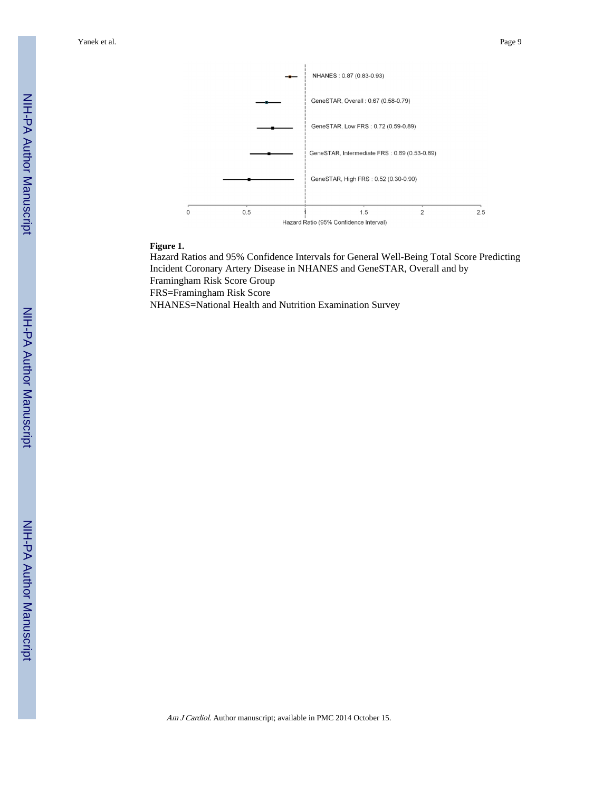Yanek et al. Page 9



#### **Figure 1.**

Hazard Ratios and 95% Confidence Intervals for General Well-Being Total Score Predicting Incident Coronary Artery Disease in NHANES and GeneSTAR, Overall and by Framingham Risk Score Group FRS=Framingham Risk Score NHANES=National Health and Nutrition Examination Survey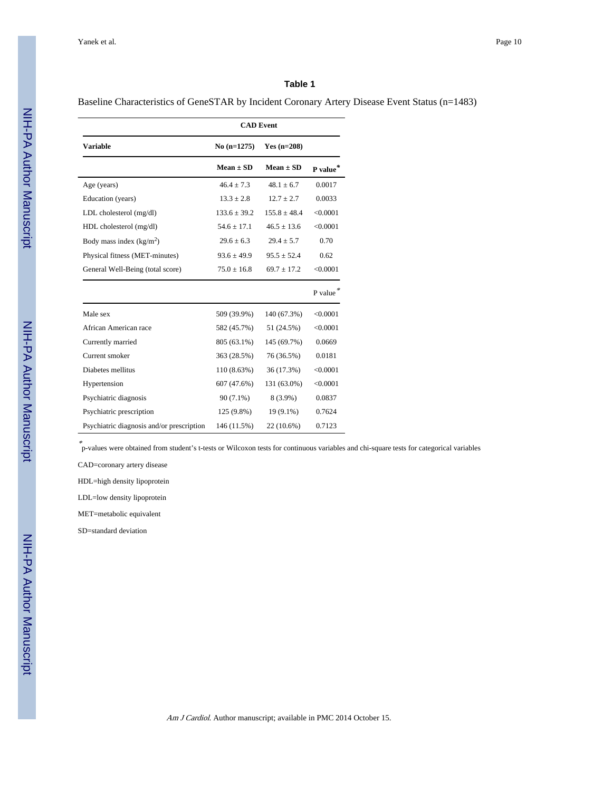Baseline Characteristics of GeneSTAR by Incident Coronary Artery Disease Event Status (n=1483)

|                                           |                  | <b>CAD</b> Event |          |
|-------------------------------------------|------------------|------------------|----------|
| <b>Variable</b>                           | $No(n=1275)$     | Yes $(n=208)$    |          |
|                                           | $Mean \pm SD$    | $Mean \pm SD$    | P value* |
| Age (years)                               | $46.4 + 7.3$     | $48.1 + 6.7$     | 0.0017   |
| Education (years)                         | $13.3 \pm 2.8$   | $12.7 \pm 2.7$   | 0.0033   |
| LDL cholesterol (mg/dl)                   | $133.6 \pm 39.2$ | $155.8 \pm 48.4$ | < 0.0001 |
| HDL cholesterol (mg/dl)                   | $54.6 \pm 17.1$  | $46.5 + 13.6$    | < 0.0001 |
| Body mass index $(kg/m2)$                 | $29.6 \pm 6.3$   | $29.4 \pm 5.7$   | 0.70     |
| Physical fitness (MET-minutes)            | $93.6 \pm 49.9$  | $95.5 \pm 52.4$  | 0.62     |
| General Well-Being (total score)          | $75.0 \pm 16.8$  | $69.7 \pm 17.2$  | < 0.0001 |
|                                           |                  |                  | P value  |
| Male sex                                  | 509 (39.9%)      | 140 (67.3%)      | < 0.0001 |
| African American race                     | 582 (45.7%)      | 51 (24.5%)       | < 0.0001 |
| Currently married                         | 805 (63.1%)      | 145 (69.7%)      | 0.0669   |
| Current smoker                            | 363 (28.5%)      | 76 (36.5%)       | 0.0181   |
| Diabetes mellitus                         | 110 (8.63%)      | 36 (17.3%)       | < 0.0001 |
| Hypertension                              | 607 (47.6%)      | 131 (63.0%)      | < 0.0001 |
| Psychiatric diagnosis                     | $90(7.1\%)$      | 8 (3.9%)         | 0.0837   |
| Psychiatric prescription                  | 125 (9.8%)       | 19 (9.1%)        | 0.7624   |
| Psychiatric diagnosis and/or prescription | 146 (11.5%)      | 22 (10.6%)       | 0.7123   |

\* p-values were obtained from student's t-tests or Wilcoxon tests for continuous variables and chi-square tests for categorical variables

CAD=coronary artery disease

HDL=high density lipoprotein

LDL=low density lipoprotein

MET=metabolic equivalent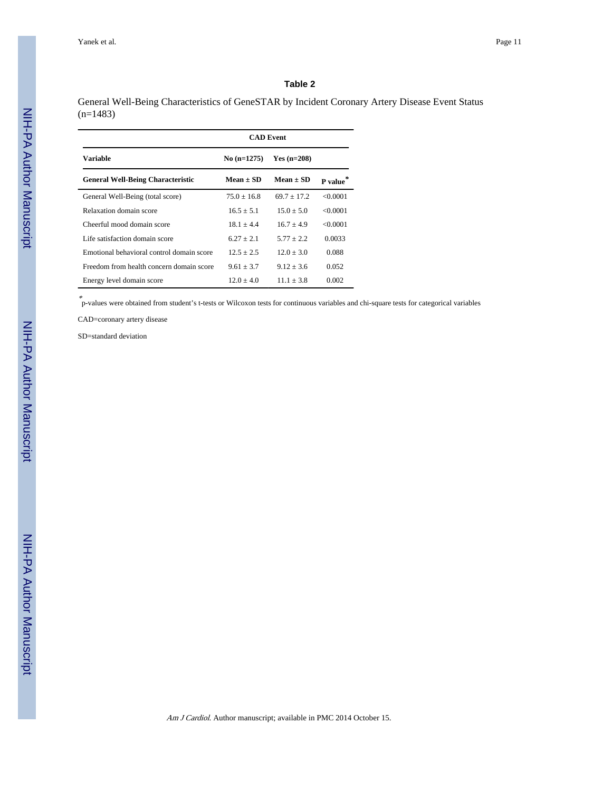General Well-Being Characteristics of GeneSTAR by Incident Coronary Artery Disease Event Status (n=1483)

|                                           | <b>CAD</b> Event |               |                      |
|-------------------------------------------|------------------|---------------|----------------------|
| <b>Variable</b>                           | $No$ (n=1275)    | $Yes (n=208)$ |                      |
| <b>General Well-Being Characteristic</b>  | $Mean \pm SD$    | $Mean \pm SD$ | P value <sup>*</sup> |
| General Well-Being (total score)          | $75.0 + 16.8$    | $69.7 + 17.2$ | < 0.0001             |
| Relaxation domain score                   | $16.5 + 5.1$     | $15.0 + 5.0$  | < 0.0001             |
| Cheerful mood domain score                | $18.1 + 4.4$     | $16.7 + 4.9$  | < 0.0001             |
| Life satisfaction domain score            | $627 + 21$       | $5.77 + 2.2$  | 0.0033               |
| Emotional behavioral control domain score | $12.5 + 2.5$     | $12.0 + 3.0$  | 0.088                |
| Freedom from health concern domain score  | $9.61 + 3.7$     | $9.12 + 3.6$  | 0.052                |
| Energy level domain score                 | $12.0 + 4.0$     | $11.1 + 3.8$  | 0.002                |

\* p-values were obtained from student's t-tests or Wilcoxon tests for continuous variables and chi-square tests for categorical variables

CAD=coronary artery disease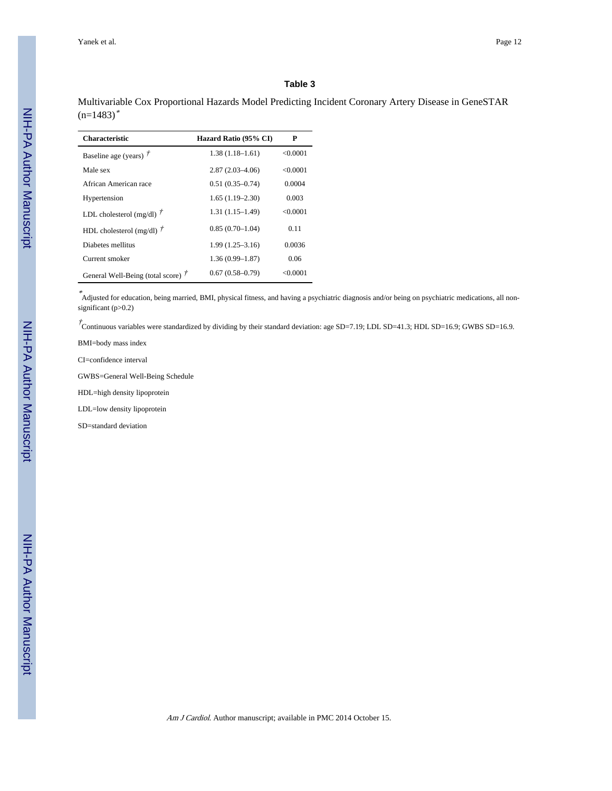Multivariable Cox Proportional Hazards Model Predicting Incident Coronary Artery Disease in GeneSTAR  $(n=1483)^*$ 

| <b>Characteristic</b>                 | Hazard Ratio (95% CI) | P        |
|---------------------------------------|-----------------------|----------|
| Baseline age (years) $\ddot{r}$       | $1.38(1.18 - 1.61)$   | < 0.0001 |
| Male sex                              | $2.87(2.03-4.06)$     | < 0.0001 |
| African American race                 | $0.51(0.35 - 0.74)$   | 0.0004   |
| Hypertension                          | $1.65(1.19-2.30)$     | 0.003    |
| LDL cholesterol (mg/dl) $\ddot{7}$    | $1.31(1.15-1.49)$     | < 0.0001 |
| HDL cholesterol (mg/dl) $\ddot{\tau}$ | $0.85(0.70-1.04)$     | 0.11     |
| Diabetes mellitus                     | $1.99(1.25 - 3.16)$   | 0.0036   |
| Current smoker                        | $1.36(0.99 - 1.87)$   | 0.06     |
| General Well-Being (total score) /    | $0.67(0.58-0.79)$     | <0.0001  |

\* Adjusted for education, being married, BMI, physical fitness, and having a psychiatric diagnosis and/or being on psychiatric medications, all nonsignificant (p>0.2)

 $\vec{\tau}$ Continuous variables were standardized by dividing by their standard deviation: age SD=7.19; LDL SD=41.3; HDL SD=16.9; GWBS SD=16.9.

BMI=body mass index

CI=confidence interval

GWBS=General Well-Being Schedule

HDL=high density lipoprotein

LDL=low density lipoprotein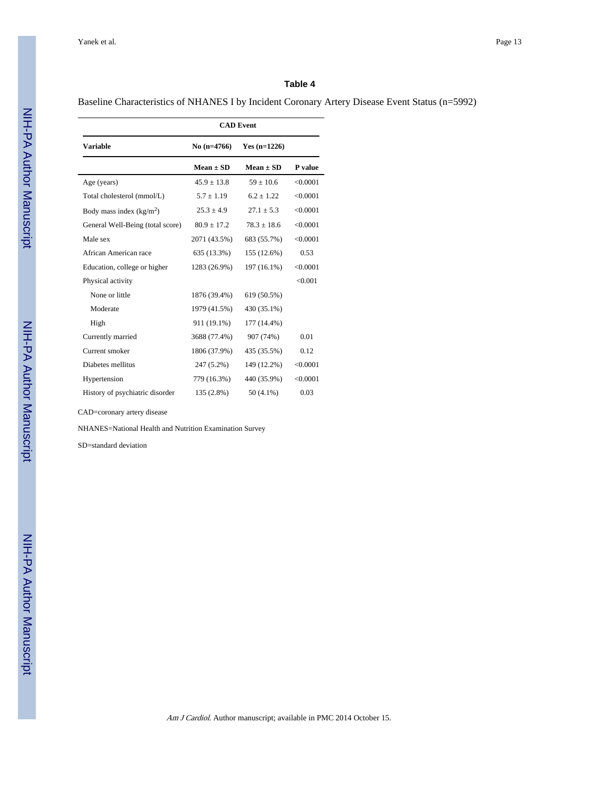Baseline Characteristics of NHANES I by Incident Coronary Artery Disease Event Status (n=5992)

|                                  | <b>CAD</b> Event |                 |          |
|----------------------------------|------------------|-----------------|----------|
| <b>Variable</b>                  | No $(n=4766)$    | Yes $(n=1226)$  |          |
|                                  | $Mean \pm SD$    | $Mean \pm SD$   | P value  |
| Age (years)                      | $45.9 \pm 13.8$  | $59 + 10.6$     | < 0.0001 |
| Total cholesterol (mmol/L)       | $5.7 \pm 1.19$   | $6.2 \pm 1.22$  | < 0.0001 |
| Body mass index $(kg/m2)$        | $25.3 \pm 4.9$   | $27.1 + 5.3$    | < 0.0001 |
| General Well-Being (total score) | $80.9 \pm 17.2$  | $78.3 \pm 18.6$ | < 0.0001 |
| Male sex                         | 2071 (43.5%)     | 683 (55.7%)     | < 0.0001 |
| African American race            | 635 (13.3%)      | 155 (12.6%)     | 0.53     |
| Education, college or higher     | 1283 (26.9%)     | 197 (16.1%)     | < 0.0001 |
| Physical activity                |                  |                 | < 0.001  |
| None or little                   | 1876 (39.4%)     | 619 (50.5%)     |          |
| Moderate                         | 1979 (41.5%)     | 430 (35.1%)     |          |
| High                             | 911 (19.1%)      | 177 (14.4%)     |          |
| Currently married                | 3688 (77.4%)     | 907 (74%)       | 0.01     |
| Current smoker                   | 1806 (37.9%)     | 435 (35.5%)     | 0.12     |
| Diabetes mellitus                | 247 (5.2%)       | 149 (12.2%)     | < 0.0001 |
| Hypertension                     | 779 (16.3%)      | 440 (35.9%)     | < 0.0001 |
| History of psychiatric disorder  | 135 (2.8%)       | $50(4.1\%)$     | 0.03     |

CAD=coronary artery disease

NHANES=National Health and Nutrition Examination Survey